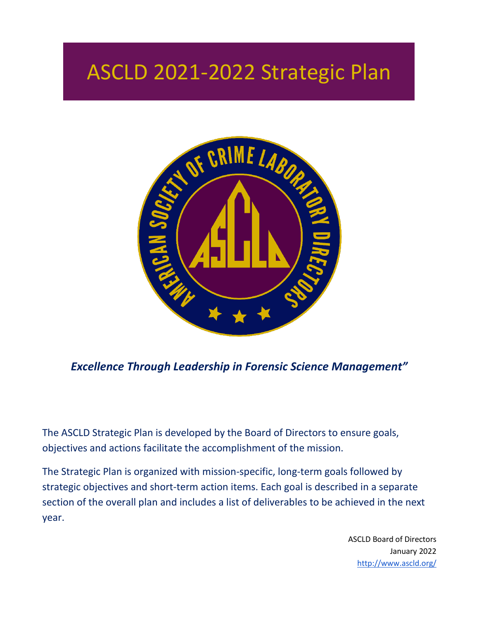# ASCLD 2021-2022 Strategic Plan



*Excellence Through Leadership in Forensic Science Management"*

The ASCLD Strategic Plan is developed by the Board of Directors to ensure goals, objectives and actions facilitate the accomplishment of the mission.

The Strategic Plan is organized with mission-specific, long-term goals followed by strategic objectives and short-term action items. Each goal is described in a separate section of the overall plan and includes a list of deliverables to be achieved in the next year.

> ASCLD Board of Directors January 2022 <http://www.ascld.org/>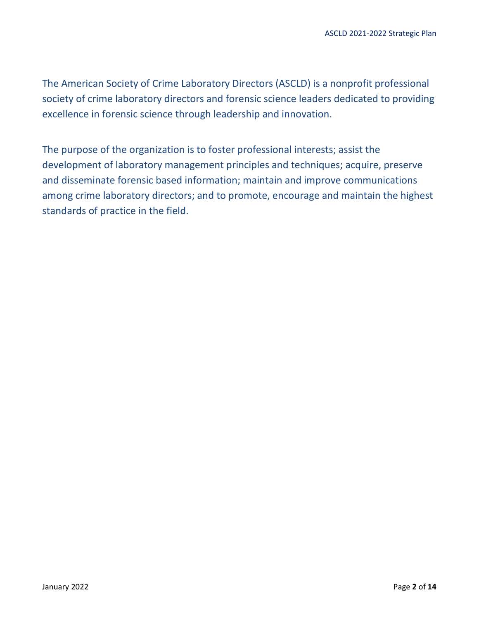The American Society of Crime Laboratory Directors (ASCLD) is a nonprofit professional society of crime laboratory directors and forensic science leaders dedicated to providing excellence in forensic science through leadership and innovation.

The purpose of the organization is to foster professional interests; assist the development of laboratory management principles and techniques; acquire, preserve and disseminate forensic based information; maintain and improve communications among crime laboratory directors; and to promote, encourage and maintain the highest standards of practice in the field.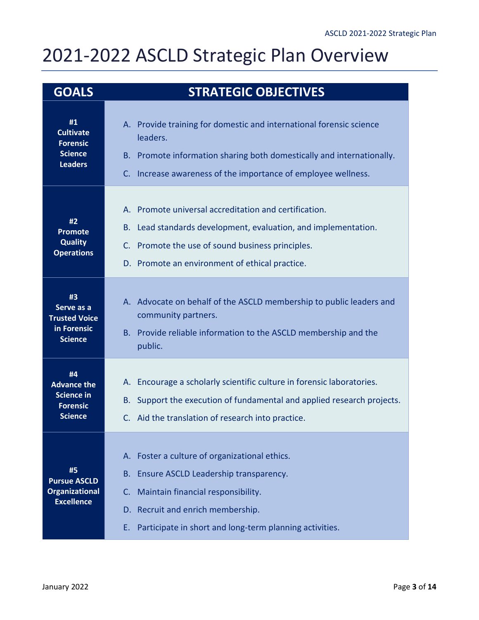## 2021-2022 ASCLD Strategic Plan Overview

| <b>GOALS</b>                                                                       | <b>STRATEGIC OBJECTIVES</b>                                                                                                                                                                                                                        |
|------------------------------------------------------------------------------------|----------------------------------------------------------------------------------------------------------------------------------------------------------------------------------------------------------------------------------------------------|
| #1<br><b>Cultivate</b><br><b>Forensic</b><br><b>Science</b><br><b>Leaders</b>      | A. Provide training for domestic and international forensic science<br>leaders.<br>B. Promote information sharing both domestically and internationally.<br>Increase awareness of the importance of employee wellness.<br>C.                       |
| #2<br><b>Promote</b><br><b>Quality</b><br><b>Operations</b>                        | A. Promote universal accreditation and certification.<br>Lead standards development, evaluation, and implementation.<br>В.<br>C. Promote the use of sound business principles.<br>D. Promote an environment of ethical practice.                   |
| #3<br>Serve as a<br><b>Trusted Voice</b><br>in Forensic<br><b>Science</b>          | A. Advocate on behalf of the ASCLD membership to public leaders and<br>community partners.<br>B. Provide reliable information to the ASCLD membership and the<br>public.                                                                           |
| #4<br><b>Advance the</b><br><b>Science in</b><br><b>Forensic</b><br><b>Science</b> | A. Encourage a scholarly scientific culture in forensic laboratories.<br>Support the execution of fundamental and applied research projects.<br>B.<br>C. Aid the translation of research into practice.                                            |
| #5<br><b>Pursue ASCLD</b><br><b>Organizational</b><br><b>Excellence</b>            | A. Foster a culture of organizational ethics.<br>Ensure ASCLD Leadership transparency.<br><b>B.</b><br>C. Maintain financial responsibility.<br>D. Recruit and enrich membership.<br>Participate in short and long-term planning activities.<br>Ε. |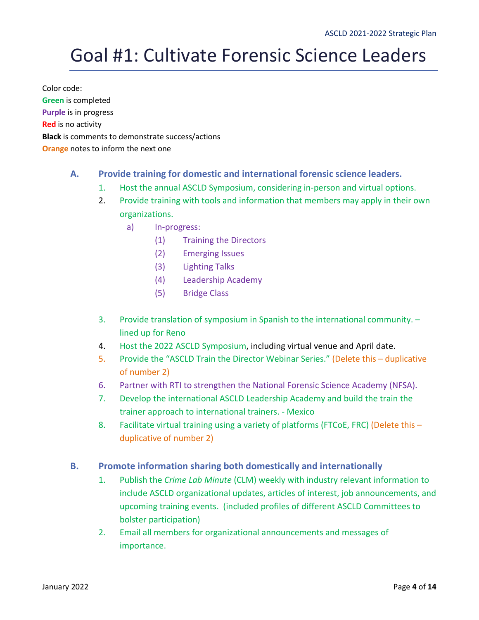## Goal #1: Cultivate Forensic Science Leaders

Color code: **Green** is completed **Purple** is in progress **Red** is no activity **Black** is comments to demonstrate success/actions **Orange** notes to inform the next one

## **A. Provide training for domestic and international forensic science leaders.**

- 1. Host the annual ASCLD Symposium, considering in-person and virtual options.
- 2. Provide training with tools and information that members may apply in their own organizations.
	- a) In-progress:
		- (1) Training the Directors
		- (2) Emerging Issues
		- (3) Lighting Talks
		- (4) Leadership Academy
		- (5) Bridge Class
- 3. Provide translation of symposium in Spanish to the international community. lined up for Reno
- 4. Host the 2022 ASCLD Symposium, including virtual venue and April date.
- 5. Provide the "ASCLD Train the Director Webinar Series." (Delete this duplicative of number 2)
- 6. Partner with RTI to strengthen the National Forensic Science Academy (NFSA).
- 7. Develop the international ASCLD Leadership Academy and build the train the trainer approach to international trainers. - Mexico
- 8. Facilitate virtual training using a variety of platforms (FTCoE, FRC) (Delete this duplicative of number 2)

### **B. Promote information sharing both domestically and internationally**

- 1. Publish the *Crime Lab Minute* (CLM) weekly with industry relevant information to include ASCLD organizational updates, articles of interest, job announcements, and upcoming training events. (included profiles of different ASCLD Committees to bolster participation)
- 2. Email all members for organizational announcements and messages of importance.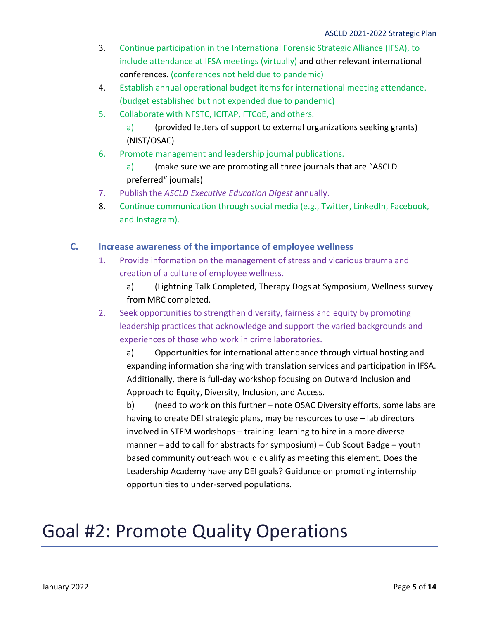- 3. Continue participation in the International Forensic Strategic Alliance (IFSA), to include attendance at IFSA meetings (virtually) and other relevant international conferences. (conferences not held due to pandemic)
- 4. Establish annual operational budget items for international meeting attendance. (budget established but not expended due to pandemic)
- 5. Collaborate with NFSTC, ICITAP, FTCoE, and others.
	- a) (provided letters of support to external organizations seeking grants) (NIST/OSAC)
- 6. Promote management and leadership journal publications.
	- a) (make sure we are promoting all three journals that are "ASCLD preferred" journals)
- 7. Publish the *ASCLD Executive Education Digest* annually.
- 8. Continue communication through social media (e.g., Twitter, LinkedIn, Facebook, and Instagram).

### **C. Increase awareness of the importance of employee wellness**

- 1. Provide information on the management of stress and vicarious trauma and creation of a culture of employee wellness.
	- a) (Lightning Talk Completed, Therapy Dogs at Symposium, Wellness survey from MRC completed.
- 2. Seek opportunities to strengthen diversity, fairness and equity by promoting leadership practices that acknowledge and support the varied backgrounds and experiences of those who work in crime laboratories.

a) Opportunities for international attendance through virtual hosting and expanding information sharing with translation services and participation in IFSA. Additionally, there is full-day workshop focusing on Outward Inclusion and Approach to Equity, Diversity, Inclusion, and Access.

b) (need to work on this further – note OSAC Diversity efforts, some labs are having to create DEI strategic plans, may be resources to use – lab directors involved in STEM workshops – training: learning to hire in a more diverse manner – add to call for abstracts for symposium) – Cub Scout Badge – youth based community outreach would qualify as meeting this element. Does the Leadership Academy have any DEI goals? Guidance on promoting internship opportunities to under-served populations.

## Goal #2: Promote Quality Operations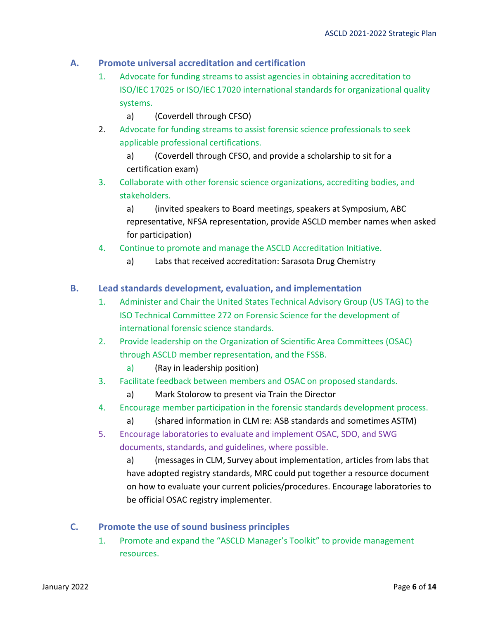## **A. Promote universal accreditation and certification**

- 1. Advocate for funding streams to assist agencies in obtaining accreditation to ISO/IEC 17025 or ISO/IEC 17020 international standards for organizational quality systems.
	- a) (Coverdell through CFSO)
- 2. Advocate for funding streams to assist forensic science professionals to seek applicable professional certifications.

a) (Coverdell through CFSO, and provide a scholarship to sit for a certification exam)

3. Collaborate with other forensic science organizations, accrediting bodies, and stakeholders.

a) (invited speakers to Board meetings, speakers at Symposium, ABC representative, NFSA representation, provide ASCLD member names when asked for participation)

- 4. Continue to promote and manage the ASCLD Accreditation Initiative.
	- a) Labs that received accreditation: Sarasota Drug Chemistry

### **B. Lead standards development, evaluation, and implementation**

- 1. Administer and Chair the United States Technical Advisory Group (US TAG) to the ISO Technical Committee 272 on Forensic Science for the development of international forensic science standards.
- 2. Provide leadership on the Organization of Scientific Area Committees (OSAC) through ASCLD member representation, and the FSSB.
	- a) (Ray in leadership position)
- 3. Facilitate feedback between members and OSAC on proposed standards.
	- a) Mark Stolorow to present via Train the Director
- 4. Encourage member participation in the forensic standards development process.
	- a) (shared information in CLM re: ASB standards and sometimes ASTM)
- 5. Encourage laboratories to evaluate and implement OSAC, SDO, and SWG documents, standards, and guidelines, where possible.

a) (messages in CLM, Survey about implementation, articles from labs that have adopted registry standards, MRC could put together a resource document on how to evaluate your current policies/procedures. Encourage laboratories to be official OSAC registry implementer.

### **C. Promote the use of sound business principles**

1. Promote and expand the "ASCLD Manager's Toolkit" to provide management resources.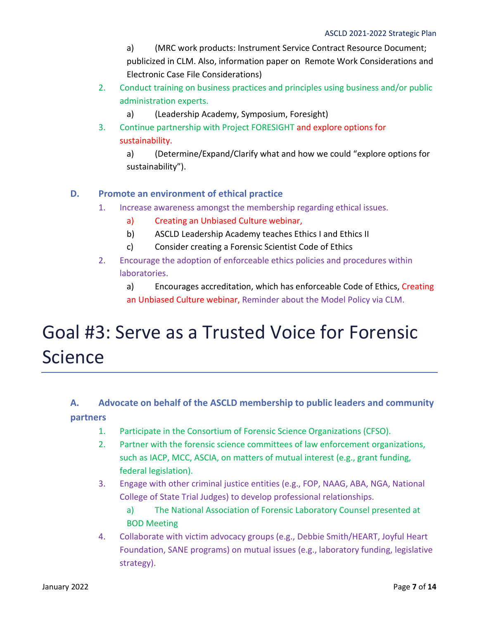a) (MRC work products: Instrument Service Contract Resource Document; publicized in CLM. Also, information paper on Remote Work Considerations and Electronic Case File Considerations)

- 2. Conduct training on business practices and principles using business and/or public administration experts.
	- a) (Leadership Academy, Symposium, Foresight)
- 3. Continue partnership with Project FORESIGHT and explore options for sustainability.

a) (Determine/Expand/Clarify what and how we could "explore options for sustainability").

## **D. Promote an environment of ethical practice**

- 1. Increase awareness amongst the membership regarding ethical issues.
	- a) Creating an Unbiased Culture webinar,
	- b) ASCLD Leadership Academy teaches Ethics I and Ethics II
	- c) Consider creating a Forensic Scientist Code of Ethics
- 2. Encourage the adoption of enforceable ethics policies and procedures within laboratories.

a) Encourages accreditation, which has enforceable Code of Ethics, Creating an Unbiased Culture webinar, Reminder about the Model Policy via CLM.

## Goal #3: Serve as a Trusted Voice for Forensic Science

## **A. Advocate on behalf of the ASCLD membership to public leaders and community partners**

- 1. Participate in the Consortium of Forensic Science Organizations (CFSO).
- 2. Partner with the forensic science committees of law enforcement organizations, such as IACP, MCC, ASCIA, on matters of mutual interest (e.g., grant funding, federal legislation).
- 3. Engage with other criminal justice entities (e.g., FOP, NAAG, ABA, NGA, National College of State Trial Judges) to develop professional relationships.
	- a) The National Association of Forensic Laboratory Counsel presented at BOD Meeting
- 4. Collaborate with victim advocacy groups (e.g., Debbie Smith/HEART, Joyful Heart Foundation, SANE programs) on mutual issues (e.g., laboratory funding, legislative strategy).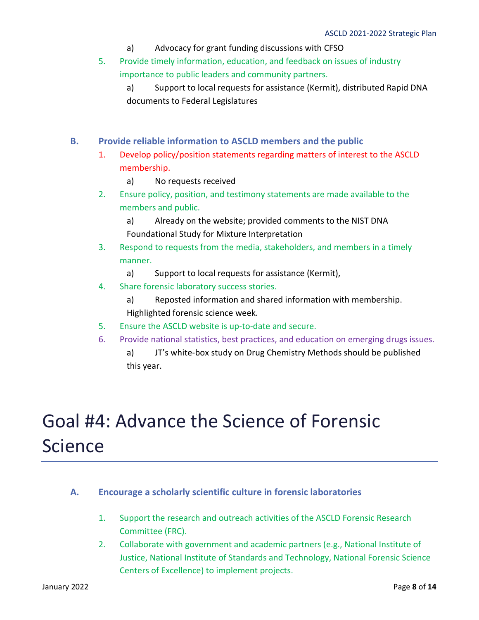- a) Advocacy for grant funding discussions with CFSO
- 5. Provide timely information, education, and feedback on issues of industry importance to public leaders and community partners.
	- a) Support to local requests for assistance (Kermit), distributed Rapid DNA documents to Federal Legislatures
- **B. Provide reliable information to ASCLD members and the public**
	- 1. Develop policy/position statements regarding matters of interest to the ASCLD membership.
		- a) No requests received
	- 2. Ensure policy, position, and testimony statements are made available to the members and public.
		- a) Already on the website; provided comments to the NIST DNA Foundational Study for Mixture Interpretation
	- 3. Respond to requests from the media, stakeholders, and members in a timely manner.
		- a) Support to local requests for assistance (Kermit),
	- 4. Share forensic laboratory success stories.
		- a) Reposted information and shared information with membership. Highlighted forensic science week.
	- 5. Ensure the ASCLD website is up-to-date and secure.
	- 6. Provide national statistics, best practices, and education on emerging drugs issues.
		- a) JT's white-box study on Drug Chemistry Methods should be published this year.

## Goal #4: Advance the Science of Forensic Science

- **A. Encourage a scholarly scientific culture in forensic laboratories**
	- 1. Support the research and outreach activities of the ASCLD Forensic Research Committee (FRC).
	- 2. Collaborate with government and academic partners (e.g., National Institute of Justice, National Institute of Standards and Technology, National Forensic Science Centers of Excellence) to implement projects.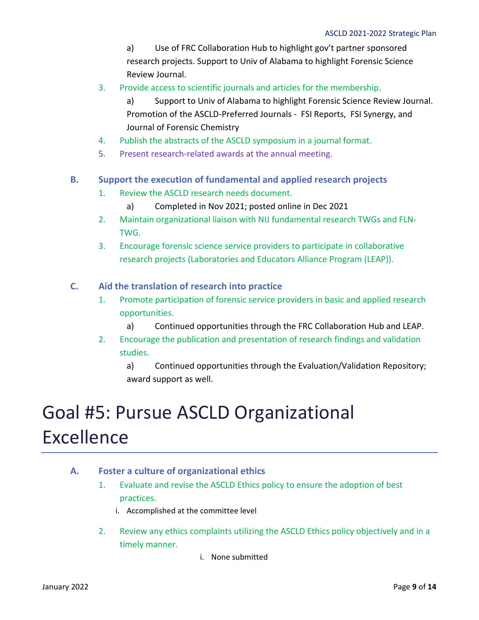a) Use of FRC Collaboration Hub to highlight gov't partner sponsored research projects. Support to Univ of Alabama to highlight Forensic Science Review Journal.

- 3. Provide access to scientific journals and articles for the membership.
	- a) Support to Univ of Alabama to highlight Forensic Science Review Journal. Promotion of the ASCLD-Preferred Journals - FSI Reports, FSI Synergy, and Journal of Forensic Chemistry
- 4. Publish the abstracts of the ASCLD symposium in a journal format.
- 5. Present research-related awards at the annual meeting.
- **B. Support the execution of fundamental and applied research projects**
	- 1. Review the ASCLD research needs document.
		- a) Completed in Nov 2021; posted online in Dec 2021
	- 2. Maintain organizational liaison with NIJ fundamental research TWGs and FLN-TWG.
	- 3. Encourage forensic science service providers to participate in collaborative research projects (Laboratories and Educators Alliance Program (LEAP)).
- **C. Aid the translation of research into practice**
	- 1. Promote participation of forensic service providers in basic and applied research opportunities.
		- a) Continued opportunities through the FRC Collaboration Hub and LEAP.
	- 2. Encourage the publication and presentation of research findings and validation studies.

a) Continued opportunities through the Evaluation/Validation Repository; award support as well.

# Goal #5: Pursue ASCLD Organizational Excellence

- **A. Foster a culture of organizational ethics** 
	- 1. Evaluate and revise the ASCLD Ethics policy to ensure the adoption of best practices.
		- i. Accomplished at the committee level
	- 2. Review any ethics complaints utilizing the ASCLD Ethics policy objectively and in a timely manner.
		- i. None submitted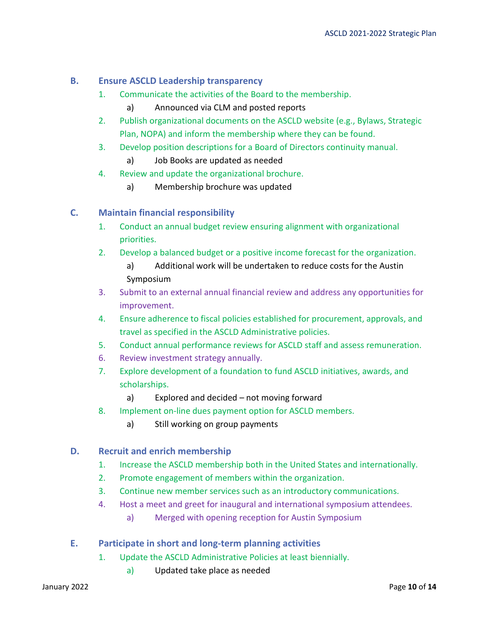## **B. Ensure ASCLD Leadership transparency**

- 1. Communicate the activities of the Board to the membership.
	- a) Announced via CLM and posted reports
- 2. Publish organizational documents on the ASCLD website (e.g., Bylaws, Strategic Plan, NOPA) and inform the membership where they can be found.
- 3. Develop position descriptions for a Board of Directors continuity manual.
	- a) Job Books are updated as needed
- 4. Review and update the organizational brochure.
	- a) Membership brochure was updated

### **C. Maintain financial responsibility**

- 1. Conduct an annual budget review ensuring alignment with organizational priorities.
- 2. Develop a balanced budget or a positive income forecast for the organization.
	- a) Additional work will be undertaken to reduce costs for the Austin Symposium
- 3. Submit to an external annual financial review and address any opportunities for improvement.
- 4. Ensure adherence to fiscal policies established for procurement, approvals, and travel as specified in the ASCLD Administrative policies.
- 5. Conduct annual performance reviews for ASCLD staff and assess remuneration.
- 6. Review investment strategy annually.
- 7. Explore development of a foundation to fund ASCLD initiatives, awards, and scholarships.
	- a) Explored and decided not moving forward
- 8. Implement on-line dues payment option for ASCLD members.
	- a) Still working on group payments

### **D. Recruit and enrich membership**

- 1. Increase the ASCLD membership both in the United States and internationally.
- 2. Promote engagement of members within the organization.
- 3. Continue new member services such as an introductory communications.
- 4. Host a meet and greet for inaugural and international symposium attendees.
	- a) Merged with opening reception for Austin Symposium
- **E. Participate in short and long-term planning activities**
	- 1. Update the ASCLD Administrative Policies at least biennially.
		- a) Updated take place as needed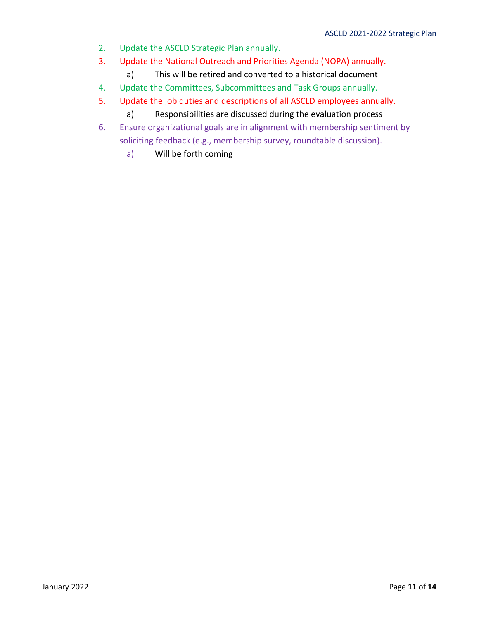- 2. Update the ASCLD Strategic Plan annually.
- 3. Update the National Outreach and Priorities Agenda (NOPA) annually.
	- a) This will be retired and converted to a historical document
- 4. Update the Committees, Subcommittees and Task Groups annually.
- 5. Update the job duties and descriptions of all ASCLD employees annually.
	- a) Responsibilities are discussed during the evaluation process
- 6. Ensure organizational goals are in alignment with membership sentiment by soliciting feedback (e.g., membership survey, roundtable discussion).
	- a) Will be forth coming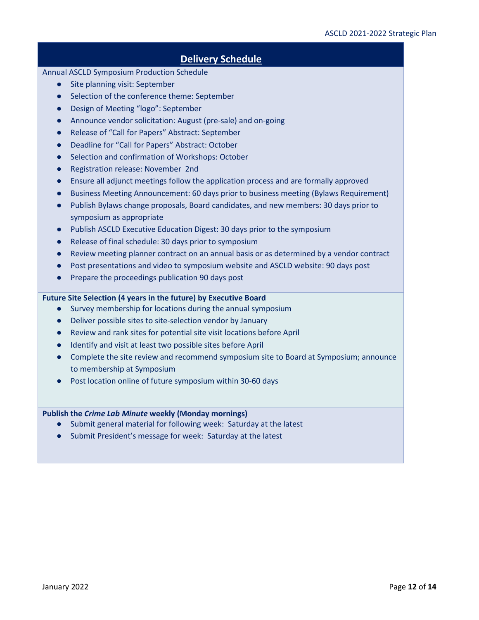## **Delivery Schedule**

#### Annual ASCLD Symposium Production Schedule

- Site planning visit: September
- Selection of the conference theme: September
- Design of Meeting "logo": September
- Announce vendor solicitation: August (pre-sale) and on-going
- Release of "Call for Papers" Abstract: September
- Deadline for "Call for Papers" Abstract: October
- Selection and confirmation of Workshops: October
- Registration release: November 2nd
- Ensure all adjunct meetings follow the application process and are formally approved
- Business Meeting Announcement: 60 days prior to business meeting (Bylaws Requirement)
- Publish Bylaws change proposals, Board candidates, and new members: 30 days prior to symposium as appropriate
- Publish ASCLD Executive Education Digest: 30 days prior to the symposium
- Release of final schedule: 30 days prior to symposium
- Review meeting planner contract on an annual basis or as determined by a vendor contract
- Post presentations and video to symposium website and ASCLD website: 90 days post
- Prepare the proceedings publication 90 days post

### **Future Site Selection (4 years in the future) by Executive Board**

- Survey membership for locations during the annual symposium
- Deliver possible sites to site-selection vendor by January
- Review and rank sites for potential site visit locations before April
- Identify and visit at least two possible sites before April
- Complete the site review and recommend symposium site to Board at Symposium; announce to membership at Symposium
- Post location online of future symposium within 30-60 days

### **Publish the** *Crime Lab Minute* **weekly (Monday mornings)**

- Submit general material for following week: Saturday at the latest
- Submit President's message for week: Saturday at the latest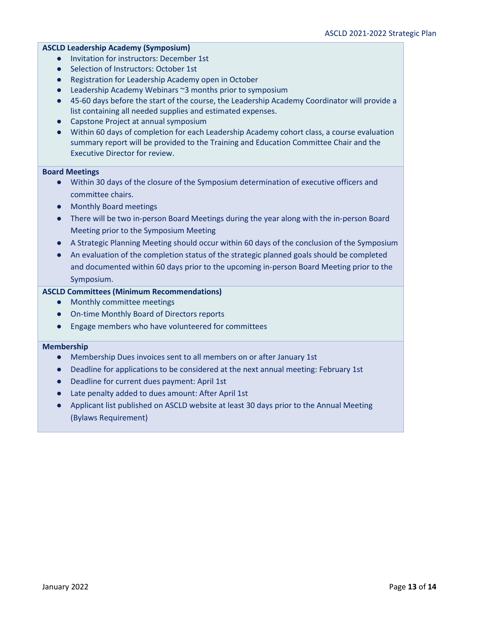### **ASCLD Leadership Academy (Symposium)**

- Invitation for instructors: December 1st
- Selection of Instructors: October 1st
- Registration for Leadership Academy open in October
- Leadership Academy Webinars ~3 months prior to symposium
- 45-60 days before the start of the course, the Leadership Academy Coordinator will provide a list containing all needed supplies and estimated expenses.
- Capstone Project at annual symposium
- Within 60 days of completion for each Leadership Academy cohort class, a course evaluation summary report will be provided to the Training and Education Committee Chair and the Executive Director for review.

#### **Board Meetings**

- Within 30 days of the closure of the Symposium determination of executive officers and committee chairs.
- Monthly Board meetings
- There will be two in-person Board Meetings during the year along with the in-person Board Meeting prior to the Symposium Meeting
- A Strategic Planning Meeting should occur within 60 days of the conclusion of the Symposium
- An evaluation of the completion status of the strategic planned goals should be completed and documented within 60 days prior to the upcoming in-person Board Meeting prior to the Symposium.

### **ASCLD Committees (Minimum Recommendations)**

- Monthly committee meetings
- On-time Monthly Board of Directors reports
- Engage members who have volunteered for committees

#### **Membership**

- Membership Dues invoices sent to all members on or after January 1st
- Deadline for applications to be considered at the next annual meeting: February 1st
- Deadline for current dues payment: April 1st
- Late penalty added to dues amount: After April 1st
- Applicant list published on ASCLD website at least 30 days prior to the Annual Meeting (Bylaws Requirement)